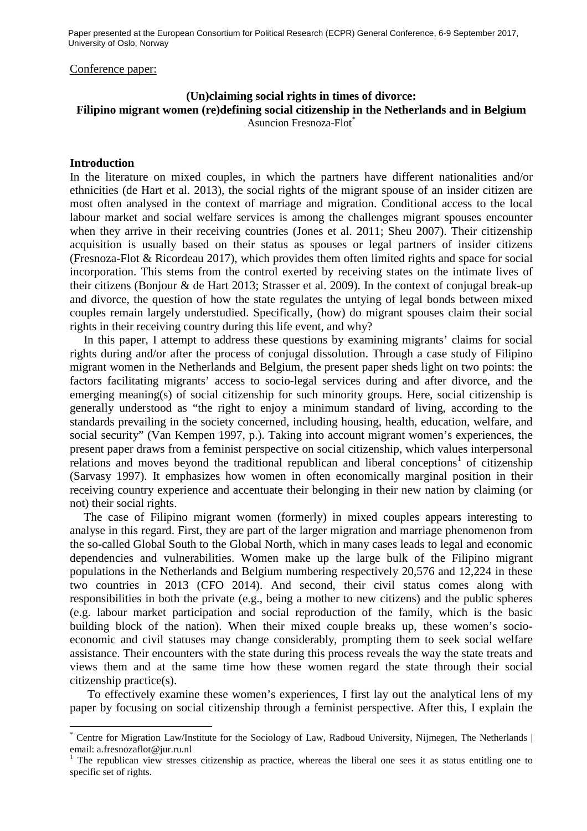Paper presented at the European Consortium for Political Research (ECPR) General Conference, 6-9 September 2017, University of Oslo, Norway

#### Conference paper:

# **(Un)claiming social rights in times of divorce: Filipino migrant women (re)defining social citizenship in the Netherlands and in Belgium**  Asuncion Fresnoza-Flot\*

### **Introduction**

 $\overline{a}$ 

In the literature on mixed couples, in which the partners have different nationalities and/or ethnicities (de Hart et al. 2013), the social rights of the migrant spouse of an insider citizen are most often analysed in the context of marriage and migration. Conditional access to the local labour market and social welfare services is among the challenges migrant spouses encounter when they arrive in their receiving countries (Jones et al. 2011; Sheu 2007). Their citizenship acquisition is usually based on their status as spouses or legal partners of insider citizens (Fresnoza-Flot & Ricordeau 2017), which provides them often limited rights and space for social incorporation. This stems from the control exerted by receiving states on the intimate lives of their citizens (Bonjour & de Hart 2013; Strasser et al. 2009). In the context of conjugal break-up and divorce, the question of how the state regulates the untying of legal bonds between mixed couples remain largely understudied. Specifically, (how) do migrant spouses claim their social rights in their receiving country during this life event, and why?

In this paper, I attempt to address these questions by examining migrants' claims for social rights during and/or after the process of conjugal dissolution. Through a case study of Filipino migrant women in the Netherlands and Belgium, the present paper sheds light on two points: the factors facilitating migrants' access to socio-legal services during and after divorce, and the emerging meaning(s) of social citizenship for such minority groups. Here, social citizenship is generally understood as "the right to enjoy a minimum standard of living, according to the standards prevailing in the society concerned, including housing, health, education, welfare, and social security" (Van Kempen 1997, p.). Taking into account migrant women's experiences, the present paper draws from a feminist perspective on social citizenship, which values interpersonal relations and moves beyond the traditional republican and liberal conceptions<sup>1</sup> of citizenship (Sarvasy 1997). It emphasizes how women in often economically marginal position in their receiving country experience and accentuate their belonging in their new nation by claiming (or not) their social rights.

The case of Filipino migrant women (formerly) in mixed couples appears interesting to analyse in this regard. First, they are part of the larger migration and marriage phenomenon from the so-called Global South to the Global North, which in many cases leads to legal and economic dependencies and vulnerabilities. Women make up the large bulk of the Filipino migrant populations in the Netherlands and Belgium numbering respectively 20,576 and 12,224 in these two countries in 2013 (CFO 2014). And second, their civil status comes along with responsibilities in both the private (e.g., being a mother to new citizens) and the public spheres (e.g. labour market participation and social reproduction of the family, which is the basic building block of the nation). When their mixed couple breaks up, these women's socioeconomic and civil statuses may change considerably, prompting them to seek social welfare assistance. Their encounters with the state during this process reveals the way the state treats and views them and at the same time how these women regard the state through their social citizenship practice(s).

To effectively examine these women's experiences, I first lay out the analytical lens of my paper by focusing on social citizenship through a feminist perspective. After this, I explain the

<sup>\*</sup> Centre for Migration Law/Institute for the Sociology of Law, Radboud University, Nijmegen, The Netherlands | email: a.fresnozaflot@jur.ru.nl

 $1$  The republican view stresses citizenship as practice, whereas the liberal one sees it as status entitling one to specific set of rights.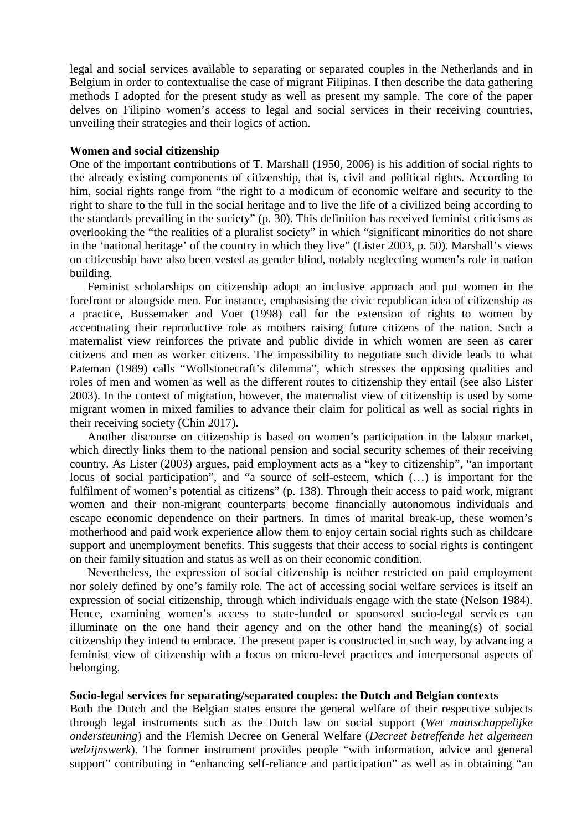legal and social services available to separating or separated couples in the Netherlands and in Belgium in order to contextualise the case of migrant Filipinas. I then describe the data gathering methods I adopted for the present study as well as present my sample. The core of the paper delves on Filipino women's access to legal and social services in their receiving countries, unveiling their strategies and their logics of action.

## **Women and social citizenship**

One of the important contributions of T. Marshall (1950, 2006) is his addition of social rights to the already existing components of citizenship, that is, civil and political rights. According to him, social rights range from "the right to a modicum of economic welfare and security to the right to share to the full in the social heritage and to live the life of a civilized being according to the standards prevailing in the society" (p. 30). This definition has received feminist criticisms as overlooking the "the realities of a pluralist society" in which "significant minorities do not share in the 'national heritage' of the country in which they live" (Lister 2003, p. 50). Marshall's views on citizenship have also been vested as gender blind, notably neglecting women's role in nation building.

Feminist scholarships on citizenship adopt an inclusive approach and put women in the forefront or alongside men. For instance, emphasising the civic republican idea of citizenship as a practice, Bussemaker and Voet (1998) call for the extension of rights to women by accentuating their reproductive role as mothers raising future citizens of the nation. Such a maternalist view reinforces the private and public divide in which women are seen as carer citizens and men as worker citizens. The impossibility to negotiate such divide leads to what Pateman (1989) calls "Wollstonecraft's dilemma", which stresses the opposing qualities and roles of men and women as well as the different routes to citizenship they entail (see also Lister 2003). In the context of migration, however, the maternalist view of citizenship is used by some migrant women in mixed families to advance their claim for political as well as social rights in their receiving society (Chin 2017).

Another discourse on citizenship is based on women's participation in the labour market, which directly links them to the national pension and social security schemes of their receiving country. As Lister (2003) argues, paid employment acts as a "key to citizenship", "an important locus of social participation", and "a source of self-esteem, which (…) is important for the fulfilment of women's potential as citizens" (p. 138). Through their access to paid work, migrant women and their non-migrant counterparts become financially autonomous individuals and escape economic dependence on their partners. In times of marital break-up, these women's motherhood and paid work experience allow them to enjoy certain social rights such as childcare support and unemployment benefits. This suggests that their access to social rights is contingent on their family situation and status as well as on their economic condition.

Nevertheless, the expression of social citizenship is neither restricted on paid employment nor solely defined by one's family role. The act of accessing social welfare services is itself an expression of social citizenship, through which individuals engage with the state (Nelson 1984). Hence, examining women's access to state-funded or sponsored socio-legal services can illuminate on the one hand their agency and on the other hand the meaning(s) of social citizenship they intend to embrace. The present paper is constructed in such way, by advancing a feminist view of citizenship with a focus on micro-level practices and interpersonal aspects of belonging.

## **Socio-legal services for separating/separated couples: the Dutch and Belgian contexts**

Both the Dutch and the Belgian states ensure the general welfare of their respective subjects through legal instruments such as the Dutch law on social support (*Wet maatschappelijke ondersteuning*) and the Flemish Decree on General Welfare (*Decreet betreffende het algemeen welzijnswerk*). The former instrument provides people "with information, advice and general support" contributing in "enhancing self-reliance and participation" as well as in obtaining "an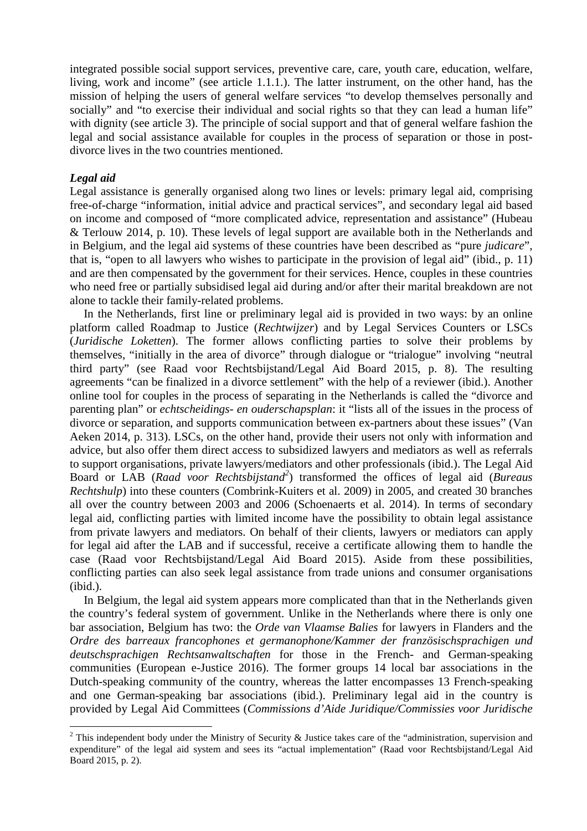integrated possible social support services, preventive care, care, youth care, education, welfare, living, work and income" (see article 1.1.1.). The latter instrument, on the other hand, has the mission of helping the users of general welfare services "to develop themselves personally and socially" and "to exercise their individual and social rights so that they can lead a human life" with dignity (see article 3). The principle of social support and that of general welfare fashion the legal and social assistance available for couples in the process of separation or those in postdivorce lives in the two countries mentioned.

## *Legal aid*

Legal assistance is generally organised along two lines or levels: primary legal aid, comprising free-of-charge "information, initial advice and practical services", and secondary legal aid based on income and composed of "more complicated advice, representation and assistance" (Hubeau & Terlouw 2014, p. 10). These levels of legal support are available both in the Netherlands and in Belgium, and the legal aid systems of these countries have been described as "pure *judicare*", that is, "open to all lawyers who wishes to participate in the provision of legal aid" (ibid., p. 11) and are then compensated by the government for their services. Hence, couples in these countries who need free or partially subsidised legal aid during and/or after their marital breakdown are not alone to tackle their family-related problems.

In the Netherlands, first line or preliminary legal aid is provided in two ways: by an online platform called Roadmap to Justice (*Rechtwijzer*) and by Legal Services Counters or LSCs (*Juridische Loketten*). The former allows conflicting parties to solve their problems by themselves, "initially in the area of divorce" through dialogue or "trialogue" involving "neutral third party" (see Raad voor Rechtsbijstand/Legal Aid Board 2015, p. 8). The resulting agreements "can be finalized in a divorce settlement" with the help of a reviewer (ibid.). Another online tool for couples in the process of separating in the Netherlands is called the "divorce and parenting plan" or *echtscheidings- en ouderschapsplan*: it "lists all of the issues in the process of divorce or separation, and supports communication between ex-partners about these issues" (Van Aeken 2014, p. 313). LSCs, on the other hand, provide their users not only with information and advice, but also offer them direct access to subsidized lawyers and mediators as well as referrals to support organisations, private lawyers/mediators and other professionals (ibid.). The Legal Aid Board or LAB (*Raad voor Rechtsbijstand<sup>2</sup>* ) transformed the offices of legal aid (*Bureaus Rechtshulp*) into these counters (Combrink-Kuiters et al. 2009) in 2005, and created 30 branches all over the country between 2003 and 2006 (Schoenaerts et al. 2014). In terms of secondary legal aid, conflicting parties with limited income have the possibility to obtain legal assistance from private lawyers and mediators. On behalf of their clients, lawyers or mediators can apply for legal aid after the LAB and if successful, receive a certificate allowing them to handle the case (Raad voor Rechtsbijstand/Legal Aid Board 2015). Aside from these possibilities, conflicting parties can also seek legal assistance from trade unions and consumer organisations (ibid.).

In Belgium, the legal aid system appears more complicated than that in the Netherlands given the country's federal system of government. Unlike in the Netherlands where there is only one bar association, Belgium has two: the *Orde van Vlaamse Balies* for lawyers in Flanders and the *Ordre des barreaux francophones et germanophone/Kammer der französischsprachigen und deutschsprachigen Rechtsanwaltschaften* for those in the French- and German-speaking communities (European e-Justice 2016). The former groups 14 local bar associations in the Dutch-speaking community of the country, whereas the latter encompasses 13 French-speaking and one German-speaking bar associations (ibid.). Preliminary legal aid in the country is provided by Legal Aid Committees (*Commissions d'Aide Juridique/Commissies voor Juridische* 

<sup>&</sup>lt;sup>2</sup> This independent body under the Ministry of Security & Justice takes care of the "administration, supervision and expenditure" of the legal aid system and sees its "actual implementation" (Raad voor Rechtsbijstand/Legal Aid Board 2015, p. 2).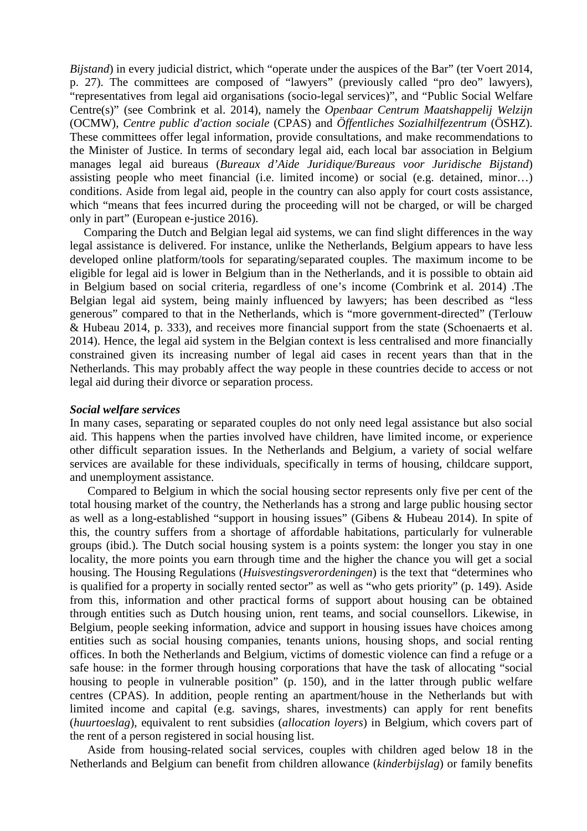*Bijstand*) in every judicial district, which "operate under the auspices of the Bar" (ter Voert 2014, p. 27). The committees are composed of "lawyers" (previously called "pro deo" lawyers), "representatives from legal aid organisations (socio-legal services)", and "Public Social Welfare Centre(s)" (see Combrink et al. 2014), namely the *Openbaar Centrum Maatshappelij Welzijn* (OCMW), *Centre public d'action sociale* (CPAS) and *Öffentliches Sozialhilfezentrum* (ÖSHZ). These committees offer legal information, provide consultations, and make recommendations to the Minister of Justice. In terms of secondary legal aid, each local bar association in Belgium manages legal aid bureaus (*Bureaux d'Aide Juridique/Bureaus voor Juridische Bijstand*) assisting people who meet financial (i.e. limited income) or social (e.g. detained, minor…) conditions. Aside from legal aid, people in the country can also apply for court costs assistance, which "means that fees incurred during the proceeding will not be charged, or will be charged only in part" (European e-justice 2016).

Comparing the Dutch and Belgian legal aid systems, we can find slight differences in the way legal assistance is delivered. For instance, unlike the Netherlands, Belgium appears to have less developed online platform/tools for separating/separated couples. The maximum income to be eligible for legal aid is lower in Belgium than in the Netherlands, and it is possible to obtain aid in Belgium based on social criteria, regardless of one's income (Combrink et al. 2014) .The Belgian legal aid system, being mainly influenced by lawyers; has been described as "less generous" compared to that in the Netherlands, which is "more government-directed" (Terlouw & Hubeau 2014, p. 333), and receives more financial support from the state (Schoenaerts et al. 2014). Hence, the legal aid system in the Belgian context is less centralised and more financially constrained given its increasing number of legal aid cases in recent years than that in the Netherlands. This may probably affect the way people in these countries decide to access or not legal aid during their divorce or separation process.

#### *Social welfare services*

In many cases, separating or separated couples do not only need legal assistance but also social aid. This happens when the parties involved have children, have limited income, or experience other difficult separation issues. In the Netherlands and Belgium, a variety of social welfare services are available for these individuals, specifically in terms of housing, childcare support, and unemployment assistance.

Compared to Belgium in which the social housing sector represents only five per cent of the total housing market of the country, the Netherlands has a strong and large public housing sector as well as a long-established "support in housing issues" (Gibens & Hubeau 2014). In spite of this, the country suffers from a shortage of affordable habitations, particularly for vulnerable groups (ibid.). The Dutch social housing system is a points system: the longer you stay in one locality, the more points you earn through time and the higher the chance you will get a social housing. The Housing Regulations (*Huisvestingsverordeningen*) is the text that "determines who is qualified for a property in socially rented sector" as well as "who gets priority" (p. 149). Aside from this, information and other practical forms of support about housing can be obtained through entities such as Dutch housing union, rent teams, and social counsellors. Likewise, in Belgium, people seeking information, advice and support in housing issues have choices among entities such as social housing companies, tenants unions, housing shops, and social renting offices. In both the Netherlands and Belgium, victims of domestic violence can find a refuge or a safe house: in the former through housing corporations that have the task of allocating "social housing to people in vulnerable position" (p. 150), and in the latter through public welfare centres (CPAS). In addition, people renting an apartment/house in the Netherlands but with limited income and capital (e.g. savings, shares, investments) can apply for rent benefits (*huurtoeslag*), equivalent to rent subsidies (*allocation loyers*) in Belgium, which covers part of the rent of a person registered in social housing list.

Aside from housing-related social services, couples with children aged below 18 in the Netherlands and Belgium can benefit from children allowance (*kinderbijslag*) or family benefits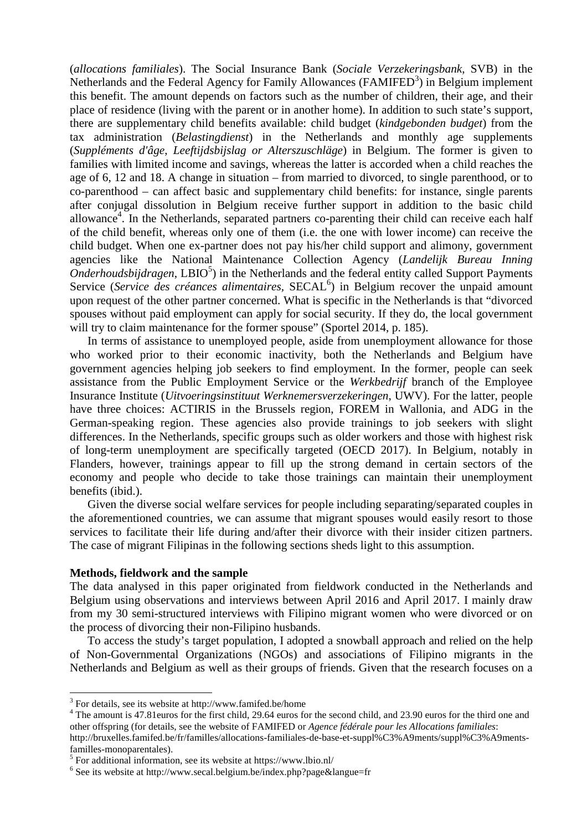(*allocations familiales*). The Social Insurance Bank (*Sociale Verzekeringsbank*, SVB) in the Netherlands and the Federal Agency for Family Allowances (FAMIFED<sup>3</sup>) in Belgium implement this benefit. The amount depends on factors such as the number of children, their age, and their place of residence (living with the parent or in another home). In addition to such state's support, there are supplementary child benefits available: child budget (*kindgebonden budget*) from the tax administration (*Belastingdienst*) in the Netherlands and monthly age supplements (*Suppléments d'âge*, *Leeftijdsbijslag or Alterszuschläge*) in Belgium. The former is given to families with limited income and savings, whereas the latter is accorded when a child reaches the age of 6, 12 and 18. A change in situation – from married to divorced, to single parenthood, or to co-parenthood – can affect basic and supplementary child benefits: for instance, single parents after conjugal dissolution in Belgium receive further support in addition to the basic child allowance<sup>4</sup>. In the Netherlands, separated partners co-parenting their child can receive each half of the child benefit, whereas only one of them (i.e. the one with lower income) can receive the child budget. When one ex-partner does not pay his/her child support and alimony, government agencies like the National Maintenance Collection Agency (*Landelijk Bureau Inning*  Onderhoudsbijdragen, LBIO<sup>5</sup>) in the Netherlands and the federal entity called Support Payments Service (Service des créances alimentaires, SECAL<sup>6</sup>) in Belgium recover the unpaid amount upon request of the other partner concerned. What is specific in the Netherlands is that "divorced spouses without paid employment can apply for social security. If they do, the local government will try to claim maintenance for the former spouse" (Sportel 2014, p. 185).

In terms of assistance to unemployed people, aside from unemployment allowance for those who worked prior to their economic inactivity, both the Netherlands and Belgium have government agencies helping job seekers to find employment. In the former, people can seek assistance from the Public Employment Service or the *Werkbedrijf* branch of the Employee Insurance Institute (*Uitvoeringsinstituut Werknemersverzekeringen*, UWV). For the latter, people have three choices: ACTIRIS in the Brussels region, FOREM in Wallonia, and ADG in the German-speaking region. These agencies also provide trainings to job seekers with slight differences. In the Netherlands, specific groups such as older workers and those with highest risk of long-term unemployment are specifically targeted (OECD 2017). In Belgium, notably in Flanders, however, trainings appear to fill up the strong demand in certain sectors of the economy and people who decide to take those trainings can maintain their unemployment benefits (ibid.).

Given the diverse social welfare services for people including separating/separated couples in the aforementioned countries, we can assume that migrant spouses would easily resort to those services to facilitate their life during and/after their divorce with their insider citizen partners. The case of migrant Filipinas in the following sections sheds light to this assumption.

## **Methods, fieldwork and the sample**

 $\overline{a}$ 

The data analysed in this paper originated from fieldwork conducted in the Netherlands and Belgium using observations and interviews between April 2016 and April 2017. I mainly draw from my 30 semi-structured interviews with Filipino migrant women who were divorced or on the process of divorcing their non-Filipino husbands.

To access the study's target population, I adopted a snowball approach and relied on the help of Non-Governmental Organizations (NGOs) and associations of Filipino migrants in the Netherlands and Belgium as well as their groups of friends. Given that the research focuses on a

<sup>&</sup>lt;sup>3</sup> For details, see its website at http://www.famifed.be/home

<sup>&</sup>lt;sup>4</sup> The amount is 47.81 euros for the first child, 29.64 euros for the second child, and 23.90 euros for the third one and other offspring (for details, see the website of FAMIFED or *Agence fédérale pour les Allocations familiales*: http://bruxelles.famifed.be/fr/familles/allocations-familiales-de-base-et-suppl%C3%A9ments/suppl%C3%A9mentsfamilles-monoparentales).

<sup>5</sup> For additional information, see its website at https://www.lbio.nl/

<sup>6</sup> See its website at http://www.secal.belgium.be/index.php?page&langue=fr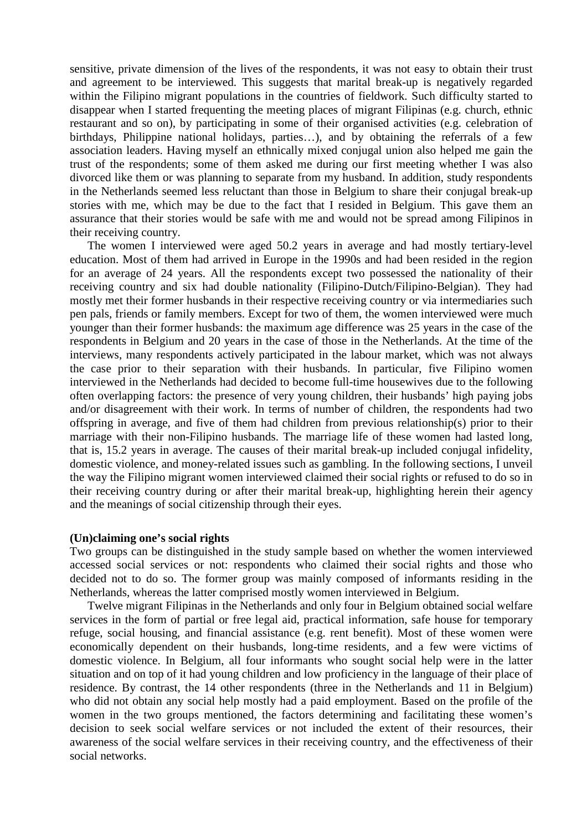sensitive, private dimension of the lives of the respondents, it was not easy to obtain their trust and agreement to be interviewed. This suggests that marital break-up is negatively regarded within the Filipino migrant populations in the countries of fieldwork. Such difficulty started to disappear when I started frequenting the meeting places of migrant Filipinas (e.g. church, ethnic restaurant and so on), by participating in some of their organised activities (e.g. celebration of birthdays, Philippine national holidays, parties…), and by obtaining the referrals of a few association leaders. Having myself an ethnically mixed conjugal union also helped me gain the trust of the respondents; some of them asked me during our first meeting whether I was also divorced like them or was planning to separate from my husband. In addition, study respondents in the Netherlands seemed less reluctant than those in Belgium to share their conjugal break-up stories with me, which may be due to the fact that I resided in Belgium. This gave them an assurance that their stories would be safe with me and would not be spread among Filipinos in their receiving country.

The women I interviewed were aged 50.2 years in average and had mostly tertiary-level education. Most of them had arrived in Europe in the 1990s and had been resided in the region for an average of 24 years. All the respondents except two possessed the nationality of their receiving country and six had double nationality (Filipino-Dutch/Filipino-Belgian). They had mostly met their former husbands in their respective receiving country or via intermediaries such pen pals, friends or family members. Except for two of them, the women interviewed were much younger than their former husbands: the maximum age difference was 25 years in the case of the respondents in Belgium and 20 years in the case of those in the Netherlands. At the time of the interviews, many respondents actively participated in the labour market, which was not always the case prior to their separation with their husbands. In particular, five Filipino women interviewed in the Netherlands had decided to become full-time housewives due to the following often overlapping factors: the presence of very young children, their husbands' high paying jobs and/or disagreement with their work. In terms of number of children, the respondents had two offspring in average, and five of them had children from previous relationship(s) prior to their marriage with their non-Filipino husbands. The marriage life of these women had lasted long, that is, 15.2 years in average. The causes of their marital break-up included conjugal infidelity, domestic violence, and money-related issues such as gambling. In the following sections, I unveil the way the Filipino migrant women interviewed claimed their social rights or refused to do so in their receiving country during or after their marital break-up, highlighting herein their agency and the meanings of social citizenship through their eyes.

## **(Un)claiming one's social rights**

Two groups can be distinguished in the study sample based on whether the women interviewed accessed social services or not: respondents who claimed their social rights and those who decided not to do so. The former group was mainly composed of informants residing in the Netherlands, whereas the latter comprised mostly women interviewed in Belgium.

Twelve migrant Filipinas in the Netherlands and only four in Belgium obtained social welfare services in the form of partial or free legal aid, practical information, safe house for temporary refuge, social housing, and financial assistance (e.g. rent benefit). Most of these women were economically dependent on their husbands, long-time residents, and a few were victims of domestic violence. In Belgium, all four informants who sought social help were in the latter situation and on top of it had young children and low proficiency in the language of their place of residence. By contrast, the 14 other respondents (three in the Netherlands and 11 in Belgium) who did not obtain any social help mostly had a paid employment. Based on the profile of the women in the two groups mentioned, the factors determining and facilitating these women's decision to seek social welfare services or not included the extent of their resources, their awareness of the social welfare services in their receiving country, and the effectiveness of their social networks.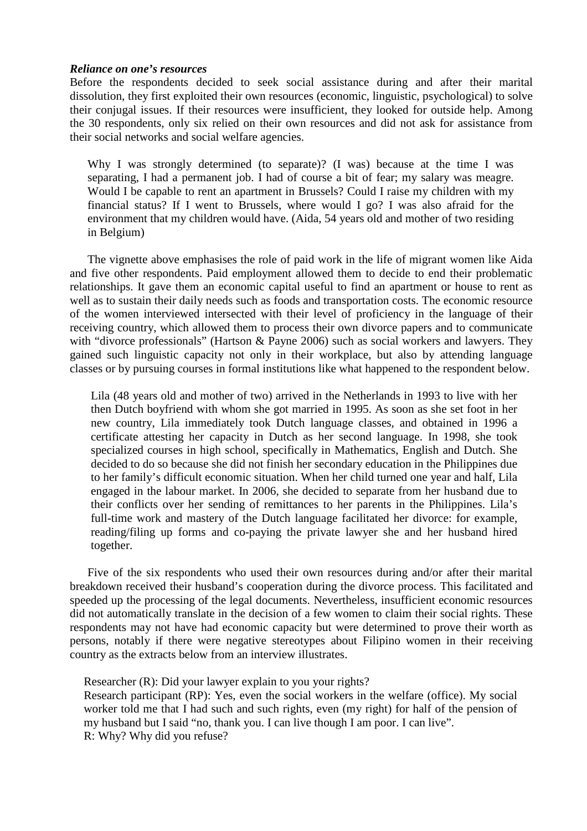## *Reliance on one's resources*

Before the respondents decided to seek social assistance during and after their marital dissolution, they first exploited their own resources (economic, linguistic, psychological) to solve their conjugal issues. If their resources were insufficient, they looked for outside help. Among the 30 respondents, only six relied on their own resources and did not ask for assistance from their social networks and social welfare agencies.

Why I was strongly determined (to separate)? (I was) because at the time I was separating, I had a permanent job. I had of course a bit of fear; my salary was meagre. Would I be capable to rent an apartment in Brussels? Could I raise my children with my financial status? If I went to Brussels, where would I go? I was also afraid for the environment that my children would have. (Aida, 54 years old and mother of two residing in Belgium)

The vignette above emphasises the role of paid work in the life of migrant women like Aida and five other respondents. Paid employment allowed them to decide to end their problematic relationships. It gave them an economic capital useful to find an apartment or house to rent as well as to sustain their daily needs such as foods and transportation costs. The economic resource of the women interviewed intersected with their level of proficiency in the language of their receiving country, which allowed them to process their own divorce papers and to communicate with "divorce professionals" (Hartson & Payne 2006) such as social workers and lawyers. They gained such linguistic capacity not only in their workplace, but also by attending language classes or by pursuing courses in formal institutions like what happened to the respondent below.

Lila (48 years old and mother of two) arrived in the Netherlands in 1993 to live with her then Dutch boyfriend with whom she got married in 1995. As soon as she set foot in her new country, Lila immediately took Dutch language classes, and obtained in 1996 a certificate attesting her capacity in Dutch as her second language. In 1998, she took specialized courses in high school, specifically in Mathematics, English and Dutch. She decided to do so because she did not finish her secondary education in the Philippines due to her family's difficult economic situation. When her child turned one year and half, Lila engaged in the labour market. In 2006, she decided to separate from her husband due to their conflicts over her sending of remittances to her parents in the Philippines. Lila's full-time work and mastery of the Dutch language facilitated her divorce: for example, reading/filing up forms and co-paying the private lawyer she and her husband hired together.

Five of the six respondents who used their own resources during and/or after their marital breakdown received their husband's cooperation during the divorce process. This facilitated and speeded up the processing of the legal documents. Nevertheless, insufficient economic resources did not automatically translate in the decision of a few women to claim their social rights. These respondents may not have had economic capacity but were determined to prove their worth as persons, notably if there were negative stereotypes about Filipino women in their receiving country as the extracts below from an interview illustrates.

Researcher (R): Did your lawyer explain to you your rights?

Research participant (RP): Yes, even the social workers in the welfare (office). My social worker told me that I had such and such rights, even (my right) for half of the pension of my husband but I said "no, thank you. I can live though I am poor. I can live". R: Why? Why did you refuse?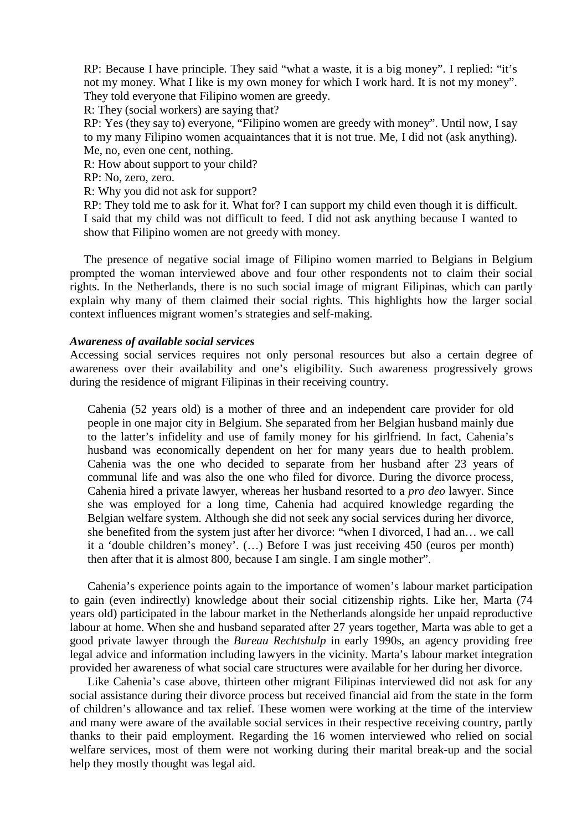RP: Because I have principle. They said "what a waste, it is a big money". I replied: "it's not my money. What I like is my own money for which I work hard. It is not my money". They told everyone that Filipino women are greedy.

R: They (social workers) are saying that?

RP: Yes (they say to) everyone, "Filipino women are greedy with money". Until now, I say to my many Filipino women acquaintances that it is not true. Me, I did not (ask anything). Me, no, even one cent, nothing.

R: How about support to your child?

RP: No, zero, zero.

R: Why you did not ask for support?

RP: They told me to ask for it. What for? I can support my child even though it is difficult. I said that my child was not difficult to feed. I did not ask anything because I wanted to show that Filipino women are not greedy with money.

The presence of negative social image of Filipino women married to Belgians in Belgium prompted the woman interviewed above and four other respondents not to claim their social rights. In the Netherlands, there is no such social image of migrant Filipinas, which can partly explain why many of them claimed their social rights. This highlights how the larger social context influences migrant women's strategies and self-making.

# *Awareness of available social services*

Accessing social services requires not only personal resources but also a certain degree of awareness over their availability and one's eligibility. Such awareness progressively grows during the residence of migrant Filipinas in their receiving country.

Cahenia (52 years old) is a mother of three and an independent care provider for old people in one major city in Belgium. She separated from her Belgian husband mainly due to the latter's infidelity and use of family money for his girlfriend. In fact, Cahenia's husband was economically dependent on her for many years due to health problem. Cahenia was the one who decided to separate from her husband after 23 years of communal life and was also the one who filed for divorce. During the divorce process, Cahenia hired a private lawyer, whereas her husband resorted to a *pro deo* lawyer. Since she was employed for a long time, Cahenia had acquired knowledge regarding the Belgian welfare system. Although she did not seek any social services during her divorce, she benefited from the system just after her divorce: "when I divorced, I had an… we call it a 'double children's money'. (…) Before I was just receiving 450 (euros per month) then after that it is almost 800, because I am single. I am single mother".

Cahenia's experience points again to the importance of women's labour market participation to gain (even indirectly) knowledge about their social citizenship rights. Like her, Marta (74 years old) participated in the labour market in the Netherlands alongside her unpaid reproductive labour at home. When she and husband separated after 27 years together, Marta was able to get a good private lawyer through the *Bureau Rechtshulp* in early 1990s, an agency providing free legal advice and information including lawyers in the vicinity. Marta's labour market integration provided her awareness of what social care structures were available for her during her divorce.

Like Cahenia's case above, thirteen other migrant Filipinas interviewed did not ask for any social assistance during their divorce process but received financial aid from the state in the form of children's allowance and tax relief. These women were working at the time of the interview and many were aware of the available social services in their respective receiving country, partly thanks to their paid employment. Regarding the 16 women interviewed who relied on social welfare services, most of them were not working during their marital break-up and the social help they mostly thought was legal aid.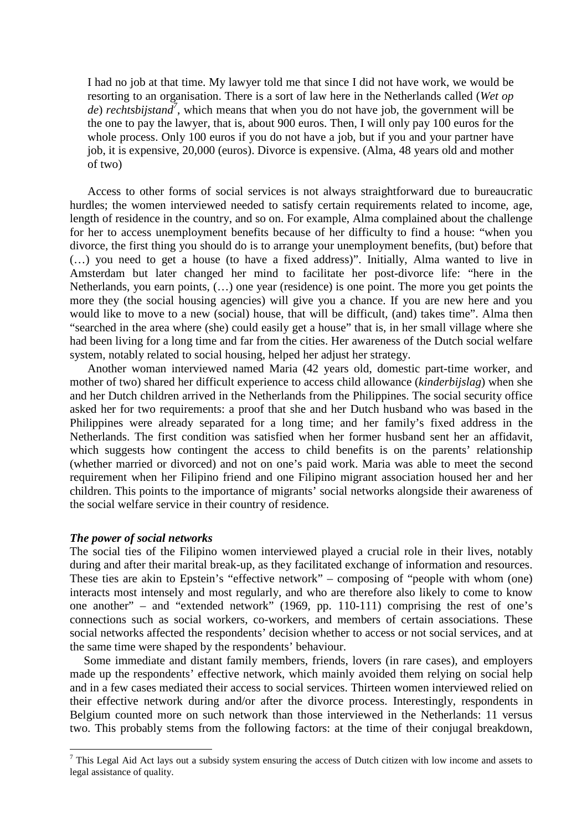I had no job at that time. My lawyer told me that since I did not have work, we would be resorting to an organisation. There is a sort of law here in the Netherlands called (*Wet op de*) *rechtsbijstand<sup>7</sup>* , which means that when you do not have job, the government will be the one to pay the lawyer, that is, about 900 euros. Then, I will only pay 100 euros for the whole process. Only 100 euros if you do not have a job, but if you and your partner have job, it is expensive, 20,000 (euros). Divorce is expensive. (Alma, 48 years old and mother of two)

Access to other forms of social services is not always straightforward due to bureaucratic hurdles; the women interviewed needed to satisfy certain requirements related to income, age, length of residence in the country, and so on. For example, Alma complained about the challenge for her to access unemployment benefits because of her difficulty to find a house: "when you divorce, the first thing you should do is to arrange your unemployment benefits, (but) before that (…) you need to get a house (to have a fixed address)". Initially, Alma wanted to live in Amsterdam but later changed her mind to facilitate her post-divorce life: "here in the Netherlands, you earn points, (…) one year (residence) is one point. The more you get points the more they (the social housing agencies) will give you a chance. If you are new here and you would like to move to a new (social) house, that will be difficult, (and) takes time". Alma then "searched in the area where (she) could easily get a house" that is, in her small village where she had been living for a long time and far from the cities. Her awareness of the Dutch social welfare system, notably related to social housing, helped her adjust her strategy.

Another woman interviewed named Maria (42 years old, domestic part-time worker, and mother of two) shared her difficult experience to access child allowance (*kinderbijslag*) when she and her Dutch children arrived in the Netherlands from the Philippines. The social security office asked her for two requirements: a proof that she and her Dutch husband who was based in the Philippines were already separated for a long time; and her family's fixed address in the Netherlands. The first condition was satisfied when her former husband sent her an affidavit, which suggests how contingent the access to child benefits is on the parents' relationship (whether married or divorced) and not on one's paid work. Maria was able to meet the second requirement when her Filipino friend and one Filipino migrant association housed her and her children. This points to the importance of migrants' social networks alongside their awareness of the social welfare service in their country of residence.

### *The power of social networks*

The social ties of the Filipino women interviewed played a crucial role in their lives, notably during and after their marital break-up, as they facilitated exchange of information and resources. These ties are akin to Epstein's "effective network" – composing of "people with whom (one) interacts most intensely and most regularly, and who are therefore also likely to come to know one another" – and "extended network" (1969, pp. 110-111) comprising the rest of one's connections such as social workers, co-workers, and members of certain associations. These social networks affected the respondents' decision whether to access or not social services, and at the same time were shaped by the respondents' behaviour.

Some immediate and distant family members, friends, lovers (in rare cases), and employers made up the respondents' effective network, which mainly avoided them relying on social help and in a few cases mediated their access to social services. Thirteen women interviewed relied on their effective network during and/or after the divorce process. Interestingly, respondents in Belgium counted more on such network than those interviewed in the Netherlands: 11 versus two. This probably stems from the following factors: at the time of their conjugal breakdown,

<sup>&</sup>lt;sup>7</sup> This Legal Aid Act lays out a subsidy system ensuring the access of Dutch citizen with low income and assets to legal assistance of quality.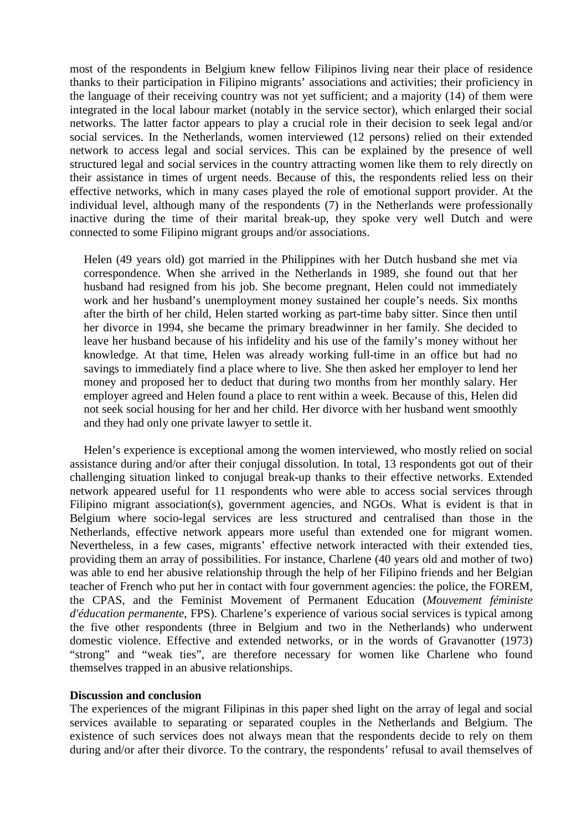most of the respondents in Belgium knew fellow Filipinos living near their place of residence thanks to their participation in Filipino migrants' associations and activities; their proficiency in the language of their receiving country was not yet sufficient; and a majority (14) of them were integrated in the local labour market (notably in the service sector), which enlarged their social networks. The latter factor appears to play a crucial role in their decision to seek legal and/or social services. In the Netherlands, women interviewed (12 persons) relied on their extended network to access legal and social services. This can be explained by the presence of well structured legal and social services in the country attracting women like them to rely directly on their assistance in times of urgent needs. Because of this, the respondents relied less on their effective networks, which in many cases played the role of emotional support provider. At the individual level, although many of the respondents (7) in the Netherlands were professionally inactive during the time of their marital break-up, they spoke very well Dutch and were connected to some Filipino migrant groups and/or associations.

Helen (49 years old) got married in the Philippines with her Dutch husband she met via correspondence. When she arrived in the Netherlands in 1989, she found out that her husband had resigned from his job. She become pregnant, Helen could not immediately work and her husband's unemployment money sustained her couple's needs. Six months after the birth of her child, Helen started working as part-time baby sitter. Since then until her divorce in 1994, she became the primary breadwinner in her family. She decided to leave her husband because of his infidelity and his use of the family's money without her knowledge. At that time, Helen was already working full-time in an office but had no savings to immediately find a place where to live. She then asked her employer to lend her money and proposed her to deduct that during two months from her monthly salary. Her employer agreed and Helen found a place to rent within a week. Because of this, Helen did not seek social housing for her and her child. Her divorce with her husband went smoothly and they had only one private lawyer to settle it.

Helen's experience is exceptional among the women interviewed, who mostly relied on social assistance during and/or after their conjugal dissolution. In total, 13 respondents got out of their challenging situation linked to conjugal break-up thanks to their effective networks. Extended network appeared useful for 11 respondents who were able to access social services through Filipino migrant association(s), government agencies, and NGOs. What is evident is that in Belgium where socio-legal services are less structured and centralised than those in the Netherlands, effective network appears more useful than extended one for migrant women. Nevertheless, in a few cases, migrants' effective network interacted with their extended ties, providing them an array of possibilities. For instance, Charlene (40 years old and mother of two) was able to end her abusive relationship through the help of her Filipino friends and her Belgian teacher of French who put her in contact with four government agencies: the police, the FOREM, the CPAS, and the Feminist Movement of Permanent Education (*Mouvement féministe d'éducation permanente*, FPS). Charlene's experience of various social services is typical among the five other respondents (three in Belgium and two in the Netherlands) who underwent domestic violence. Effective and extended networks, or in the words of Gravanotter (1973) "strong" and "weak ties", are therefore necessary for women like Charlene who found themselves trapped in an abusive relationships.

#### **Discussion and conclusion**

The experiences of the migrant Filipinas in this paper shed light on the array of legal and social services available to separating or separated couples in the Netherlands and Belgium. The existence of such services does not always mean that the respondents decide to rely on them during and/or after their divorce. To the contrary, the respondents' refusal to avail themselves of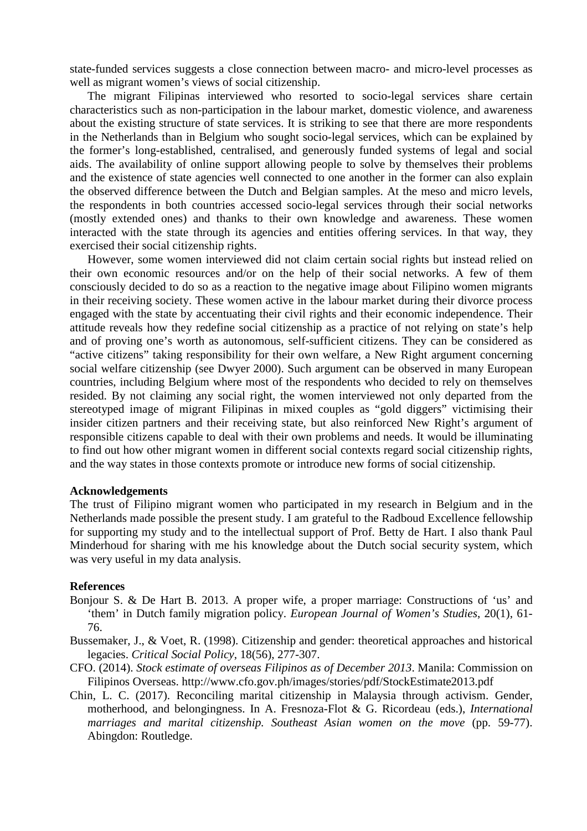state-funded services suggests a close connection between macro- and micro-level processes as well as migrant women's views of social citizenship.

The migrant Filipinas interviewed who resorted to socio-legal services share certain characteristics such as non-participation in the labour market, domestic violence, and awareness about the existing structure of state services. It is striking to see that there are more respondents in the Netherlands than in Belgium who sought socio-legal services, which can be explained by the former's long-established, centralised, and generously funded systems of legal and social aids. The availability of online support allowing people to solve by themselves their problems and the existence of state agencies well connected to one another in the former can also explain the observed difference between the Dutch and Belgian samples. At the meso and micro levels, the respondents in both countries accessed socio-legal services through their social networks (mostly extended ones) and thanks to their own knowledge and awareness. These women interacted with the state through its agencies and entities offering services. In that way, they exercised their social citizenship rights.

However, some women interviewed did not claim certain social rights but instead relied on their own economic resources and/or on the help of their social networks. A few of them consciously decided to do so as a reaction to the negative image about Filipino women migrants in their receiving society. These women active in the labour market during their divorce process engaged with the state by accentuating their civil rights and their economic independence. Their attitude reveals how they redefine social citizenship as a practice of not relying on state's help and of proving one's worth as autonomous, self-sufficient citizens. They can be considered as "active citizens" taking responsibility for their own welfare, a New Right argument concerning social welfare citizenship (see Dwyer 2000). Such argument can be observed in many European countries, including Belgium where most of the respondents who decided to rely on themselves resided. By not claiming any social right, the women interviewed not only departed from the stereotyped image of migrant Filipinas in mixed couples as "gold diggers" victimising their insider citizen partners and their receiving state, but also reinforced New Right's argument of responsible citizens capable to deal with their own problems and needs. It would be illuminating to find out how other migrant women in different social contexts regard social citizenship rights, and the way states in those contexts promote or introduce new forms of social citizenship.

### **Acknowledgements**

The trust of Filipino migrant women who participated in my research in Belgium and in the Netherlands made possible the present study. I am grateful to the Radboud Excellence fellowship for supporting my study and to the intellectual support of Prof. Betty de Hart. I also thank Paul Minderhoud for sharing with me his knowledge about the Dutch social security system, which was very useful in my data analysis.

#### **References**

- Bonjour S. & De Hart B. 2013. A proper wife, a proper marriage: Constructions of 'us' and 'them' in Dutch family migration policy. *European Journal of Women's Studies*, 20(1), 61- 76.
- Bussemaker, J., & Voet, R. (1998). Citizenship and gender: theoretical approaches and historical legacies. *Critical Social Policy*, 18(56), 277-307.
- CFO. (2014). *Stock estimate of overseas Filipinos as of December 2013*. Manila: Commission on Filipinos Overseas. http://www.cfo.gov.ph/images/stories/pdf/StockEstimate2013.pdf
- Chin, L. C. (2017). Reconciling marital citizenship in Malaysia through activism. Gender, motherhood, and belongingness. In A. Fresnoza-Flot & G. Ricordeau (eds.), *International marriages and marital citizenship. Southeast Asian women on the move* (pp. 59-77). Abingdon: Routledge.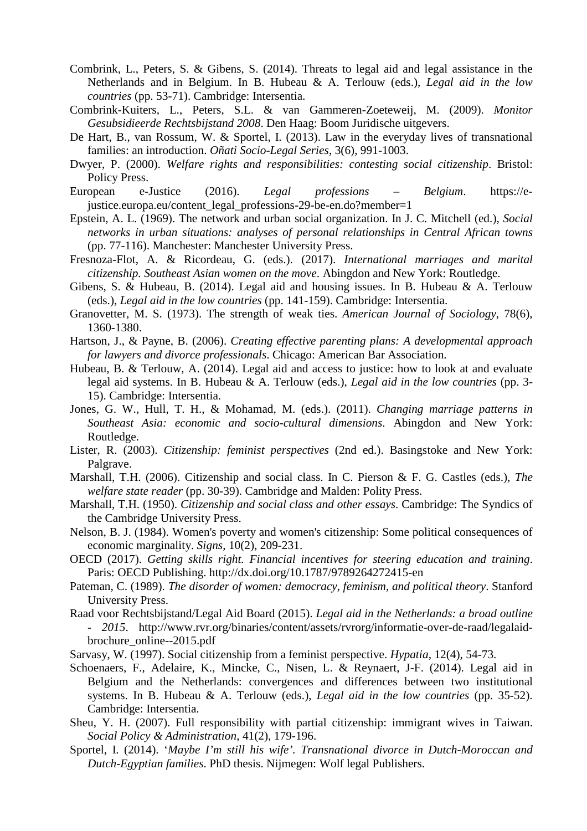- Combrink, L., Peters, S. & Gibens, S. (2014). Threats to legal aid and legal assistance in the Netherlands and in Belgium. In B. Hubeau & A. Terlouw (eds.), *Legal aid in the low countries* (pp. 53-71). Cambridge: Intersentia.
- Combrink-Kuiters, L., Peters, S.L. & van Gammeren-Zoeteweij, M. (2009). *Monitor Gesubsidieerde Rechtsbijstand 2008*. Den Haag: Boom Juridische uitgevers.
- De Hart, B., van Rossum, W. & Sportel, I. (2013). Law in the everyday lives of transnational families: an introduction. *Oñati Socio-Legal Series*, 3(6), 991-1003.
- Dwyer, P. (2000). *Welfare rights and responsibilities: contesting social citizenship*. Bristol: Policy Press.
- European e-Justice (2016). *Legal professions Belgium*. https://ejustice.europa.eu/content\_legal\_professions-29-be-en.do?member=1
- Epstein, A. L. (1969). The network and urban social organization. In J. C. Mitchell (ed.), *Social networks in urban situations: analyses of personal relationships in Central African towns* (pp. 77-116). Manchester: Manchester University Press.
- Fresnoza-Flot, A. & Ricordeau, G. (eds.). (2017). *International marriages and marital citizenship. Southeast Asian women on the move*. Abingdon and New York: Routledge.
- Gibens, S. & Hubeau, B. (2014). Legal aid and housing issues. In B. Hubeau & A. Terlouw (eds.), *Legal aid in the low countries* (pp. 141-159). Cambridge: Intersentia.
- Granovetter, M. S. (1973). The strength of weak ties. *American Journal of Sociology*, 78(6), 1360-1380.
- Hartson, J., & Payne, B. (2006). *Creating effective parenting plans: A developmental approach for lawyers and divorce professionals*. Chicago: American Bar Association.
- Hubeau, B. & Terlouw, A. (2014). Legal aid and access to justice: how to look at and evaluate legal aid systems. In B. Hubeau & A. Terlouw (eds.), *Legal aid in the low countries* (pp. 3- 15). Cambridge: Intersentia.
- Jones, G. W., Hull, T. H., & Mohamad, M. (eds.). (2011). *Changing marriage patterns in Southeast Asia: economic and socio-cultural dimensions*. Abingdon and New York: Routledge.
- Lister, R. (2003). *Citizenship: feminist perspectives* (2nd ed.). Basingstoke and New York: Palgrave.
- Marshall, T.H. (2006). Citizenship and social class. In C. Pierson & F. G. Castles (eds.), *The welfare state reader* (pp. 30-39). Cambridge and Malden: Polity Press.
- Marshall, T.H. (1950). *Citizenship and social class and other essays*. Cambridge: The Syndics of the Cambridge University Press.
- Nelson, B. J. (1984). Women's poverty and women's citizenship: Some political consequences of economic marginality. *Signs*, 10(2), 209-231.
- OECD (2017). *Getting skills right. Financial incentives for steering education and training*. Paris: OECD Publishing. http://dx.doi.org/10.1787/9789264272415-en
- Pateman, C. (1989). *The disorder of women: democracy, feminism, and political theory*. Stanford University Press.
- Raad voor Rechtsbijstand/Legal Aid Board (2015). *Legal aid in the Netherlands: a broad outline - 2015*. http://www.rvr.org/binaries/content/assets/rvrorg/informatie-over-de-raad/legalaidbrochure\_online--2015.pdf
- Sarvasy, W. (1997). Social citizenship from a feminist perspective. *Hypatia*, 12(4), 54-73.
- Schoenaers, F., Adelaire, K., Mincke, C., Nisen, L. & Reynaert, J-F. (2014). Legal aid in Belgium and the Netherlands: convergences and differences between two institutional systems. In B. Hubeau & A. Terlouw (eds.), *Legal aid in the low countries* (pp. 35-52). Cambridge: Intersentia.
- Sheu, Y. H. (2007). Full responsibility with partial citizenship: immigrant wives in Taiwan. *Social Policy & Administration*, 41(2), 179-196.
- Sportel, I. (2014). '*Maybe I'm still his wife'. Transnational divorce in Dutch-Moroccan and Dutch-Egyptian families*. PhD thesis. Nijmegen: Wolf legal Publishers.